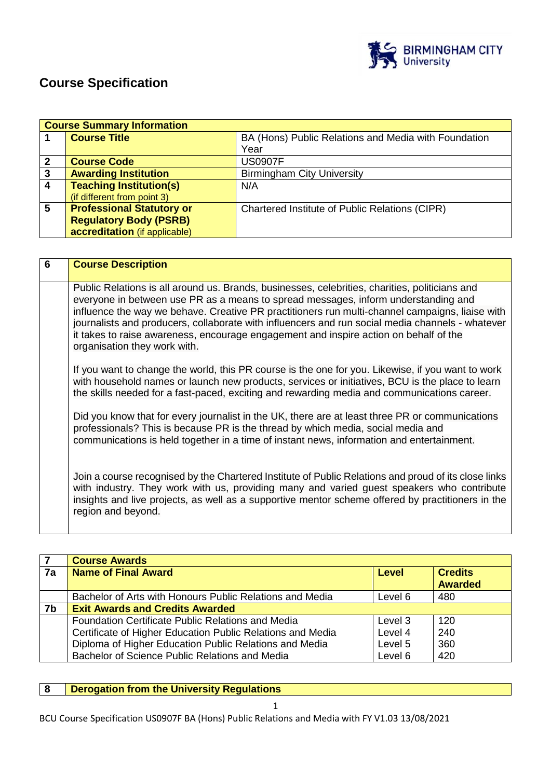

# **Course Specification**

|                | <b>Course Summary Information</b> |                                                      |  |
|----------------|-----------------------------------|------------------------------------------------------|--|
|                | <b>Course Title</b>               | BA (Hons) Public Relations and Media with Foundation |  |
|                |                                   | Year                                                 |  |
| $\overline{2}$ | <b>Course Code</b>                | <b>US0907F</b>                                       |  |
| 3              | <b>Awarding Institution</b>       | <b>Birmingham City University</b>                    |  |
| $\sqrt{4}$     | <b>Teaching Institution(s)</b>    | N/A                                                  |  |
|                | (if different from point 3)       |                                                      |  |
| 5              | <b>Professional Statutory or</b>  | Chartered Institute of Public Relations (CIPR)       |  |
|                | <b>Regulatory Body (PSRB)</b>     |                                                      |  |
|                | accreditation (if applicable)     |                                                      |  |

| $6\phantom{1}6$ | <b>Course Description</b>                                                                                                                                                                                                                                                                                                                                                                                                                                                                                            |
|-----------------|----------------------------------------------------------------------------------------------------------------------------------------------------------------------------------------------------------------------------------------------------------------------------------------------------------------------------------------------------------------------------------------------------------------------------------------------------------------------------------------------------------------------|
|                 | Public Relations is all around us. Brands, businesses, celebrities, charities, politicians and<br>everyone in between use PR as a means to spread messages, inform understanding and<br>influence the way we behave. Creative PR practitioners run multi-channel campaigns, liaise with<br>journalists and producers, collaborate with influencers and run social media channels - whatever<br>it takes to raise awareness, encourage engagement and inspire action on behalf of the<br>organisation they work with. |
|                 | If you want to change the world, this PR course is the one for you. Likewise, if you want to work<br>with household names or launch new products, services or initiatives, BCU is the place to learn<br>the skills needed for a fast-paced, exciting and rewarding media and communications career.                                                                                                                                                                                                                  |
|                 | Did you know that for every journalist in the UK, there are at least three PR or communications<br>professionals? This is because PR is the thread by which media, social media and<br>communications is held together in a time of instant news, information and entertainment.                                                                                                                                                                                                                                     |
|                 | Join a course recognised by the Chartered Institute of Public Relations and proud of its close links<br>with industry. They work with us, providing many and varied guest speakers who contribute<br>insights and live projects, as well as a supportive mentor scheme offered by practitioners in the<br>region and beyond.                                                                                                                                                                                         |

|    | <b>Course Awards</b>                                       |              |                                  |
|----|------------------------------------------------------------|--------------|----------------------------------|
| 7a | <b>Name of Final Award</b>                                 | <b>Level</b> | <b>Credits</b><br><b>Awarded</b> |
|    | Bachelor of Arts with Honours Public Relations and Media   | Level 6      | 480                              |
| 7b | <b>Exit Awards and Credits Awarded</b>                     |              |                                  |
|    | <b>Foundation Certificate Public Relations and Media</b>   | Level 3      | 120                              |
|    | Certificate of Higher Education Public Relations and Media | Level 4      | 240                              |
|    | Diploma of Higher Education Public Relations and Media     | Level 5      | 360                              |
|    | Bachelor of Science Public Relations and Media             | Level 6      | 420                              |

# **8 Derogation from the University Regulations**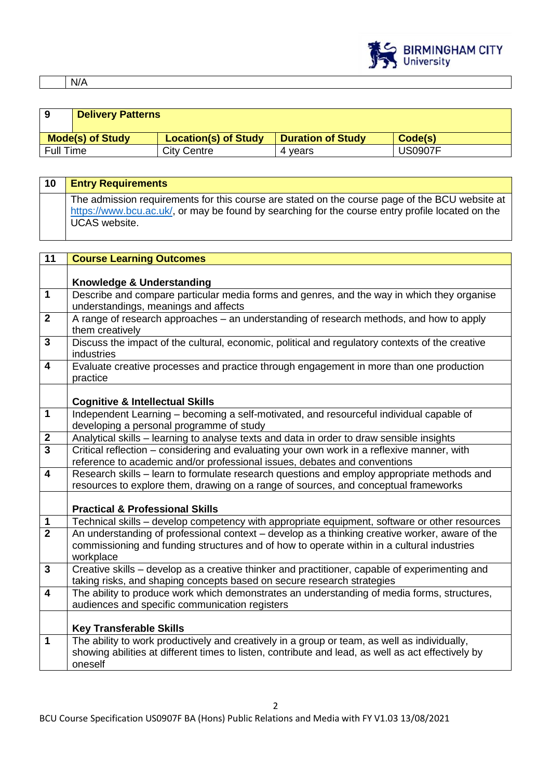

N/A

| 9                       | <b>Delivery Patterns</b> |                             |                          |         |
|-------------------------|--------------------------|-----------------------------|--------------------------|---------|
| <b>Mode(s) of Study</b> |                          | <b>Location(s) of Study</b> | <b>Duration of Study</b> | Code(s) |
| <b>Full Time</b>        |                          | <b>City Centre</b>          | 4 vears                  | US0907F |

| 10                      | <b>Entry Requirements</b>                                                                                                                                                                                                  |
|-------------------------|----------------------------------------------------------------------------------------------------------------------------------------------------------------------------------------------------------------------------|
|                         | The admission requirements for this course are stated on the course page of the BCU website at<br>https://www.bcu.ac.uk/, or may be found by searching for the course entry profile located on the<br><b>UCAS</b> website. |
|                         |                                                                                                                                                                                                                            |
| 11                      | <b>Course Learning Outcomes</b>                                                                                                                                                                                            |
|                         | Knowledge & Understanding                                                                                                                                                                                                  |
| $\mathbf 1$             | Describe and compare particular media forms and genres, and the way in which they organise<br>understandings, meanings and affects                                                                                         |
| $\mathbf{2}$            | A range of research approaches - an understanding of research methods, and how to apply<br>them creatively                                                                                                                 |
| $\overline{3}$          | Discuss the impact of the cultural, economic, political and regulatory contexts of the creative<br>industries                                                                                                              |
| 4                       | Evaluate creative processes and practice through engagement in more than one production<br>practice                                                                                                                        |
|                         | <b>Cognitive &amp; Intellectual Skills</b>                                                                                                                                                                                 |
| $\overline{1}$          | Independent Learning - becoming a self-motivated, and resourceful individual capable of<br>developing a personal programme of study                                                                                        |
| $\boldsymbol{2}$        | Analytical skills - learning to analyse texts and data in order to draw sensible insights                                                                                                                                  |
| $\overline{\mathbf{3}}$ | Critical reflection - considering and evaluating your own work in a reflexive manner, with<br>reference to academic and/or professional issues, debates and conventions                                                    |
| $\overline{\mathbf{4}}$ | Research skills - learn to formulate research questions and employ appropriate methods and<br>resources to explore them, drawing on a range of sources, and conceptual frameworks                                          |
|                         | <b>Practical &amp; Professional Skills</b>                                                                                                                                                                                 |
| $\mathbf 1$             | Technical skills - develop competency with appropriate equipment, software or other resources                                                                                                                              |
| $\overline{2}$          | An understanding of professional context - develop as a thinking creative worker, aware of the<br>commissioning and funding structures and of how to operate within in a cultural industries<br>workplace                  |
| $\overline{3}$          | Creative skills – develop as a creative thinker and practitioner, capable of experimenting and<br>taking risks, and shaping concepts based on secure research strategies                                                   |
| 4                       | The ability to produce work which demonstrates an understanding of media forms, structures,<br>audiences and specific communication registers                                                                              |
|                         | <b>Key Transferable Skills</b>                                                                                                                                                                                             |
| $\mathbf{1}$            | The ability to work productively and creatively in a group or team, as well as individually,<br>showing abilities at different times to listen, contribute and lead, as well as act effectively by<br>oneself              |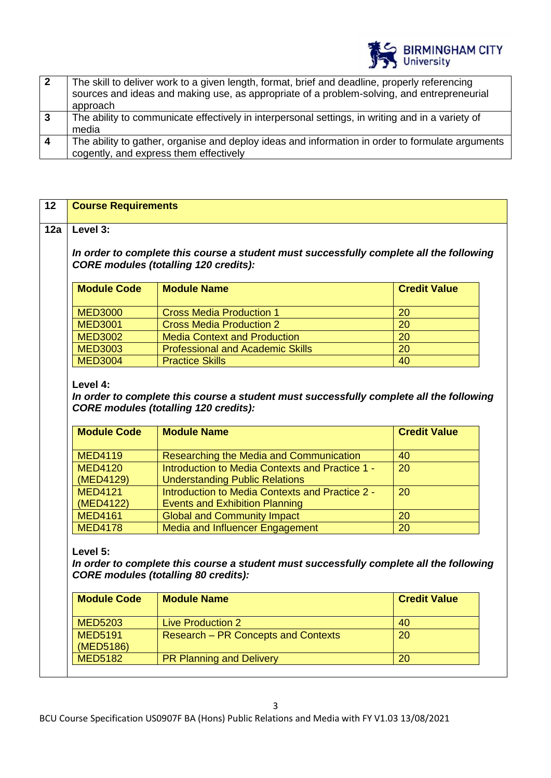

| $\overline{\mathbf{2}}$ | The skill to deliver work to a given length, format, brief and deadline, properly referencing<br>sources and ideas and making use, as appropriate of a problem-solving, and entrepreneurial<br>approach |
|-------------------------|---------------------------------------------------------------------------------------------------------------------------------------------------------------------------------------------------------|
| . 3                     | The ability to communicate effectively in interpersonal settings, in writing and in a variety of<br>media                                                                                               |
| $\boldsymbol{\Lambda}$  | The ability to gather, organise and deploy ideas and information in order to formulate arguments<br>cogently, and express them effectively                                                              |

| Level 3:<br>In order to complete this course a student must successfully complete all the following<br><b>CORE modules (totalling 120 credits):</b><br><b>Module Code</b><br><b>Module Name</b><br><b>MED3000</b><br><b>Cross Media Production 1</b><br>20 | <b>Credit Value</b> |
|------------------------------------------------------------------------------------------------------------------------------------------------------------------------------------------------------------------------------------------------------------|---------------------|
|                                                                                                                                                                                                                                                            |                     |
|                                                                                                                                                                                                                                                            |                     |
|                                                                                                                                                                                                                                                            |                     |
|                                                                                                                                                                                                                                                            |                     |
|                                                                                                                                                                                                                                                            |                     |
|                                                                                                                                                                                                                                                            |                     |
| <b>MED3001</b><br><b>Cross Media Production 2</b><br>20                                                                                                                                                                                                    |                     |
| <b>MED3002</b><br><b>Media Context and Production</b><br>20                                                                                                                                                                                                |                     |
| <b>Professional and Academic Skills</b><br><b>MED3003</b><br>20                                                                                                                                                                                            |                     |
| <b>MED3004</b><br><b>Practice Skills</b><br>$\overline{40}$                                                                                                                                                                                                |                     |
| <b>Module Code</b><br><b>Module Name</b>                                                                                                                                                                                                                   | <b>Credit Value</b> |
|                                                                                                                                                                                                                                                            |                     |
| <b>MED4119</b><br>40                                                                                                                                                                                                                                       |                     |
| Researching the Media and Communication<br><b>MED4120</b><br>Introduction to Media Contexts and Practice 1 -<br>$\overline{20}$                                                                                                                            |                     |
| (MED4129)<br><b>Understanding Public Relations</b>                                                                                                                                                                                                         |                     |
| $\overline{20}$<br><b>MED4121</b><br>Introduction to Media Contexts and Practice 2 -                                                                                                                                                                       |                     |
| (MED4122)<br><b>Events and Exhibition Planning</b>                                                                                                                                                                                                         |                     |
| $\overline{20}$<br><b>MED4161</b><br><b>Global and Community Impact</b><br>Media and Influencer Engagement<br>$\overline{20}$<br><b>MED4178</b>                                                                                                            |                     |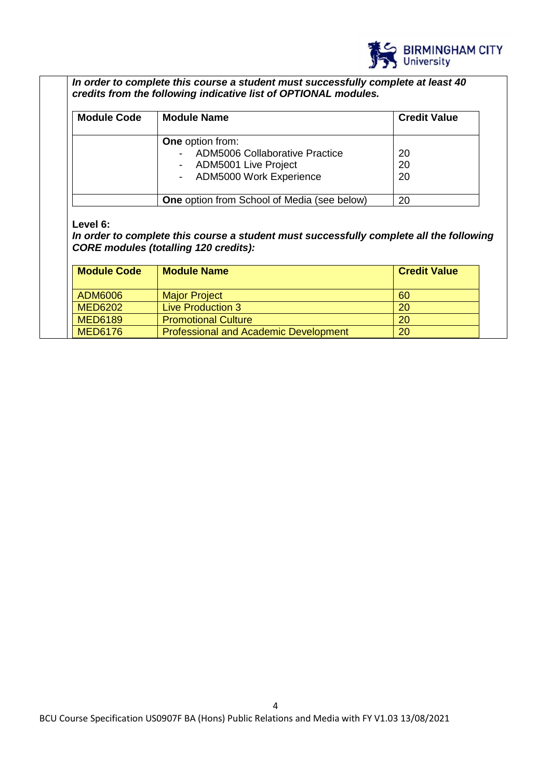

*In order to complete this course a student must successfully complete at least 40 credits from the following indicative list of OPTIONAL modules.* 

| <b>Module Code</b> | <b>Module Name</b>                                 | <b>Credit Value</b> |
|--------------------|----------------------------------------------------|---------------------|
|                    | <b>One</b> option from:                            |                     |
|                    | <b>ADM5006 Collaborative Practice</b>              | 20                  |
|                    | ADM5001 Live Project                               | 20                  |
|                    | - ADM5000 Work Experience                          | 20                  |
|                    | <b>One</b> option from School of Media (see below) | 20                  |

#### **Level 6:**

*In order to complete this course a student must successfully complete all the following CORE modules (totalling 120 credits):*

| <b>Module Code</b> | <b>Module Name</b>                           | <b>Credit Value</b> |
|--------------------|----------------------------------------------|---------------------|
| ADM6006            | <b>Major Project</b>                         | -60                 |
| <b>MED6202</b>     | <b>Live Production 3</b>                     | 20                  |
| <b>MED6189</b>     | <b>Promotional Culture</b>                   | 20                  |
| <b>MED6176</b>     | <b>Professional and Academic Development</b> | 20                  |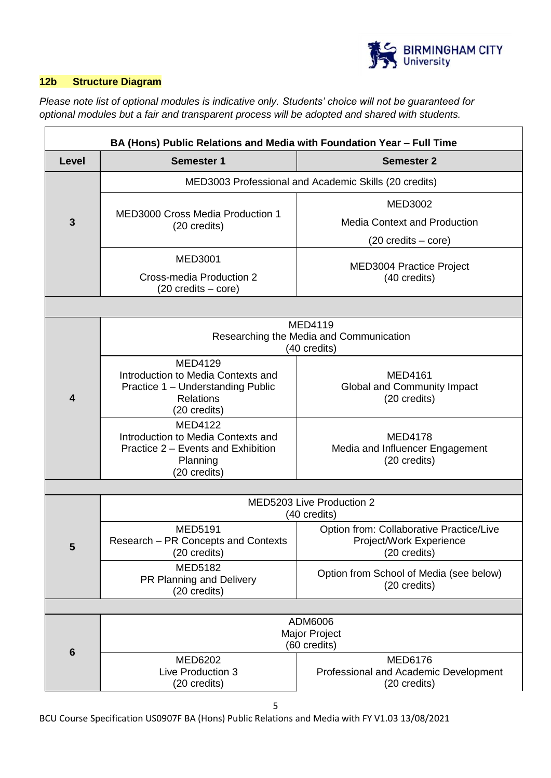

# **12b Structure Diagram**

*Please note list of optional modules is indicative only. Students' choice will not be guaranteed for optional modules but a fair and transparent process will be adopted and shared with students.*

| BA (Hons) Public Relations and Media with Foundation Year - Full Time |                                                                                                                               |                                                                                               |  |  |  |
|-----------------------------------------------------------------------|-------------------------------------------------------------------------------------------------------------------------------|-----------------------------------------------------------------------------------------------|--|--|--|
| Level                                                                 | <b>Semester 1</b>                                                                                                             | <b>Semester 2</b>                                                                             |  |  |  |
|                                                                       |                                                                                                                               | MED3003 Professional and Academic Skills (20 credits)                                         |  |  |  |
| 3                                                                     | <b>MED3000 Cross Media Production 1</b><br>(20 credits)                                                                       | <b>MED3002</b><br><b>Media Context and Production</b><br>$(20 \text{ credits} - \text{core})$ |  |  |  |
|                                                                       | <b>MED3001</b><br>Cross-media Production 2<br>$(20 \text{ credits} - \text{core})$                                            | MED3004 Practice Project<br>(40 credits)                                                      |  |  |  |
|                                                                       |                                                                                                                               |                                                                                               |  |  |  |
|                                                                       | MED4119<br>Researching the Media and Communication<br>(40 credits)                                                            |                                                                                               |  |  |  |
| $\overline{\mathbf{4}}$                                               | <b>MED4129</b><br>Introduction to Media Contexts and<br>Practice 1 - Understanding Public<br><b>Relations</b><br>(20 credits) | <b>MED4161</b><br><b>Global and Community Impact</b><br>(20 credits)                          |  |  |  |
|                                                                       | <b>MED4122</b><br>Introduction to Media Contexts and<br>Practice 2 – Events and Exhibition<br>Planning<br>(20 credits)        | <b>MED4178</b><br>Media and Influencer Engagement<br>(20 credits)                             |  |  |  |
|                                                                       |                                                                                                                               |                                                                                               |  |  |  |
|                                                                       |                                                                                                                               | MED5203 Live Production 2<br>(40 credits)                                                     |  |  |  |
| 5                                                                     | <b>MED5191</b><br>Research - PR Concepts and Contexts<br>(20 credits)                                                         | Option from: Collaborative Practice/Live<br>Project/Work Experience<br>(20 credits)           |  |  |  |
|                                                                       | <b>MED5182</b><br>PR Planning and Delivery<br>(20 credits)                                                                    | Option from School of Media (see below)<br>(20 credits)                                       |  |  |  |
|                                                                       |                                                                                                                               |                                                                                               |  |  |  |
|                                                                       | ADM6006<br><b>Major Project</b><br>(60 credits)                                                                               |                                                                                               |  |  |  |
| $6\phantom{1}$                                                        | <b>MED6202</b><br>Live Production 3<br>(20 credits)                                                                           | <b>MED6176</b><br>Professional and Academic Development<br>(20 credits)                       |  |  |  |

BCU Course Specification US0907F BA (Hons) Public Relations and Media with FY V1.03 13/08/2021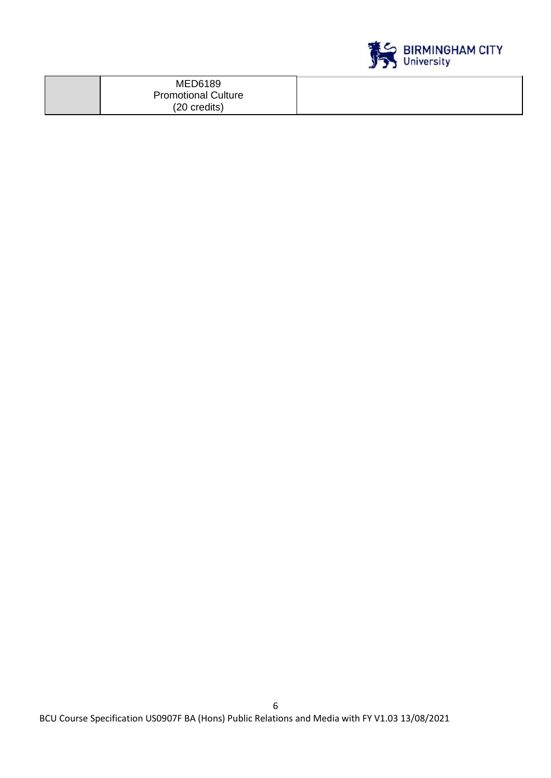

| <b>MED6189</b>             |  |
|----------------------------|--|
| <b>Promotional Culture</b> |  |
| (20 credits)               |  |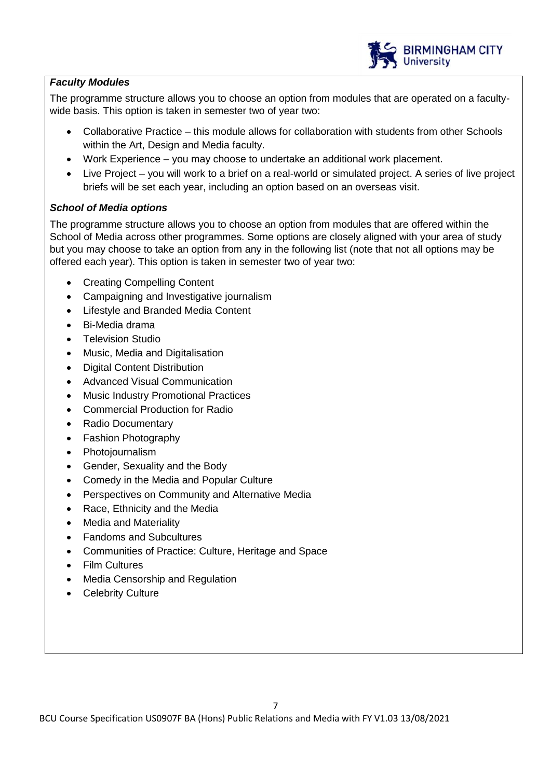

# *Faculty Modules*

The programme structure allows you to choose an option from modules that are operated on a facultywide basis. This option is taken in semester two of year two:

- Collaborative Practice this module allows for collaboration with students from other Schools within the Art, Design and Media faculty.
- Work Experience you may choose to undertake an additional work placement.
- Live Project you will work to a brief on a real-world or simulated project. A series of live project briefs will be set each year, including an option based on an overseas visit.

# *School of Media options*

The programme structure allows you to choose an option from modules that are offered within the School of Media across other programmes. Some options are closely aligned with your area of study but you may choose to take an option from any in the following list (note that not all options may be offered each year). This option is taken in semester two of year two:

- Creating Compelling Content
- Campaigning and Investigative journalism
- Lifestyle and Branded Media Content
- Bi-Media drama
- Television Studio
- Music, Media and Digitalisation
- Digital Content Distribution
- Advanced Visual Communication
- Music Industry Promotional Practices
- Commercial Production for Radio
- Radio Documentary
- Fashion Photography
- Photojournalism
- Gender, Sexuality and the Body
- Comedy in the Media and Popular Culture
- Perspectives on Community and Alternative Media
- Race, Ethnicity and the Media
- Media and Materiality
- Fandoms and Subcultures
- Communities of Practice: Culture, Heritage and Space
- Film Cultures
- Media Censorship and Regulation
- Celebrity Culture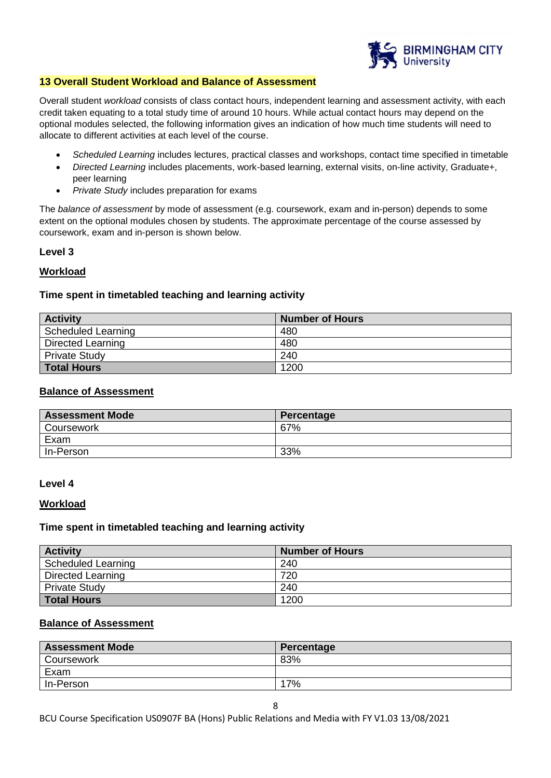

#### **13 Overall Student Workload and Balance of Assessment**

Overall student *workload* consists of class contact hours, independent learning and assessment activity, with each credit taken equating to a total study time of around 10 hours. While actual contact hours may depend on the optional modules selected, the following information gives an indication of how much time students will need to allocate to different activities at each level of the course.

- *Scheduled Learning* includes lectures, practical classes and workshops, contact time specified in timetable
- *Directed Learning* includes placements, work-based learning, external visits, on-line activity, Graduate+, peer learning
- *Private Study* includes preparation for exams

The *balance of assessment* by mode of assessment (e.g. coursework, exam and in-person) depends to some extent on the optional modules chosen by students. The approximate percentage of the course assessed by coursework, exam and in-person is shown below.

# **Level 3**

### **Workload**

# **Time spent in timetabled teaching and learning activity**

| <b>Activity</b>      | <b>Number of Hours</b> |
|----------------------|------------------------|
| Scheduled Learning   | 480                    |
| Directed Learning    | 480                    |
| <b>Private Study</b> | 240                    |
| <b>Total Hours</b>   | 1200                   |

#### **Balance of Assessment**

| <b>Assessment Mode</b> | Percentage |
|------------------------|------------|
| Coursework             | 67%        |
| Exam                   |            |
| In-Person              | 33%        |

#### **Level 4**

#### **Workload**

#### **Time spent in timetabled teaching and learning activity**

| <b>Activity</b>          | <b>Number of Hours</b> |
|--------------------------|------------------------|
| Scheduled Learning       | 240                    |
| <b>Directed Learning</b> | 720                    |
| <b>Private Study</b>     | 240                    |
| <b>Total Hours</b>       | 1200                   |

# **Balance of Assessment**

| <b>Assessment Mode</b> | Percentage |
|------------------------|------------|
| Coursework             | 83%        |
| Exam                   |            |
| In-Person              | 17%        |